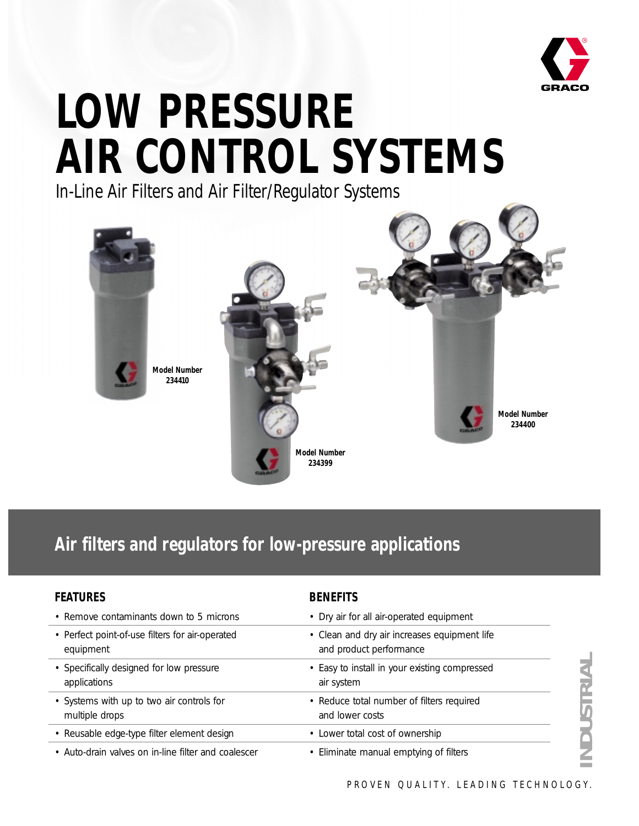

# **LOW PRESSURE AIR CONTROL SYSTEMS**

In-Line Air Filters and Air Filter/Regulator Systems



# **Air filters and regulators for low-pressure applications**

| <b>FEATURES</b>                                              | <b>BENEFITS</b>                                                         |
|--------------------------------------------------------------|-------------------------------------------------------------------------|
| • Remove contaminants down to 5 microns                      | • Dry air for all air-operated equipment                                |
| • Perfect point-of-use filters for air-operated<br>equipment | • Clean and dry air increases equipment life<br>and product performance |
| • Specifically designed for low pressure<br>applications     | • Easy to install in your existing compressed<br>air system             |
| • Systems with up to two air controls for<br>multiple drops  | • Reduce total number of filters required<br>and lower costs            |
| • Reusable edge-type filter element design                   | • Lower total cost of ownership                                         |
| • Auto-drain valves on in-line filter and coalescer          | • Eliminate manual emptying of filters                                  |